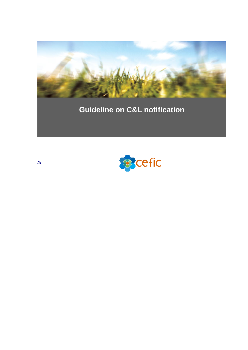

# **Guideline on C&L notification**



**June 3rd 2010**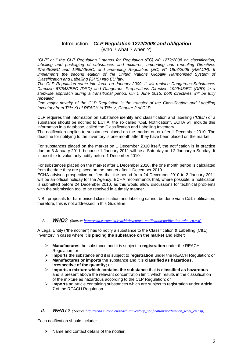# Introduction : *CLP Regulation 1272/2008 and obligation* (who ? what ? when ?)

*"CLP" or " the CLP Regulation " stands for Regulation (EC) N0 1272/2008 on classification, labelling and packaging of substances and mixtures, amending and repealing Directives 67/548/EEC and 1999/45/EC, and amending Regulation (EC) N° 1907/2006 (REACH). It implements the second edition of the United Nations Globally Harmonised System of Classification and Labelling (GHS) into EU law.* 

*The CLP Regulation came into force on January 2009. It will replace Dangerous Substances Directive 67/548/EEC (DSD) and Dangerous Preparations Directive 1999/45/EC (DPD) in a stepwise approach during a transitional period. On 1 June 2015, both directives will be fully repealed.* 

*One major novelty of the CLP Regulation is the transfer of the Classification and Labelling Inventory from Title XI of REACH to Title V, Chapter 2 of CLP.* 

CLP requires that information on substance identity and classification and labelling ("C&L") of a substance should be notified to ECHA, the so called "C&L Notification". ECHA will include this information in a database, called the Classification and Labelling Inventory.

The notification applies to substances placed on the market on or after 1 December 2010. The deadline for notifying to the inventory is one month after they have been placed on the market.

For substances placed on the market on 1 December 2010 itself, the notification is in practice due on 3 January 2011, because 1 January 2011 will be a Saturday and 2 January a Sunday. It is possible to voluntarily notify before 1 December 2010.

For substances placed on the market after 1 December 2010, the one month period is calculated from the date they are placed on the market after 1 December 2010.

ECHA advises prospective notifiers that the period from 24 December 2010 to 2 January 2011 will be an official holiday for the Agency. ECHA recommends that, where possible, a notification is submitted before 24 December 2010, as this would allow discussions for technical problems with the submission tool to be resolved in a timely manner.

N.B.: proposals for harmonised classification and labelling cannot be done via a C&L notification; therefore, this is not addressed in this Guideline.

## *I. WHO? (Source[: http://echa.europa.eu/reachit/inventory\\_notification/notification\\_who\\_en.asp](http://echa.europa.eu/reachit/inventory_notification/notification_who_en.asp)*)

A Legal Entity ("the notifier") has to notify a substance to the Classification & Labelling (C&L) Inventory in cases where it is **placing the substance on the market** and either:

- **Manufactures** the substance and it is subject to **registration** under the REACH Regulation; or
- **Imports** the substance and it is subject to **registration** under the REACH Regulation; or
- **Manufactures or imports** the substance and it is **classified as hazardous, irrespective of the quantity;** or
- **Imports a mixture which contains the substance** that is **classified as hazardous** and is present above the relevant concentration limit, which results in the classification of the mixture as hazardous according to the CLP Regulation; or
- **Imports** an article containing substances which are subject to registration under Article 7 of the REACH Regulation

#### *II. WHAT? <i>(Source:http://echa.europa.eu/reachit/inventory\_notification/notification\_what\_en.asp)*

Each notification should include:

 $\triangleright$  Name and contact details of the notifier: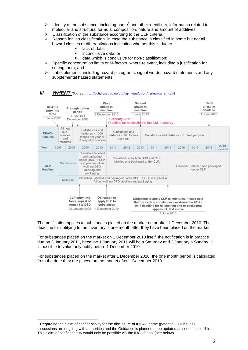- $\triangleright$  Identity of the substance, including name<sup>1</sup> and other identifiers, information related to molecular and structural formula, composition, nature and amount of additives;
- Classification of the substance according to the CLP criteria;
- Reason for "no classification" in case the substance is classified in some but not all hazard classes or differentiations indicating whether this is due to
	- **lack of data.**
	- inconclusive data, or
	- data which is conclusive for non-classification;
- $\triangleright$  Specific concentration limits or M-factors, where relevant, including a justification for setting them; and
- $\triangleright$  Label elements, including hazard pictograms, signal words, hazard statements and any supplemental hazard statements.

#### *III. WHEN? (Source: [http://echa.europa.eu/clp/clp\\_regulation/transition\\_en.asp\)](http://echa.europa.eu/clp/clp_regulation/transition_en.asp)*



The notification applies to substances placed on the market on or after 1 December 2010. The deadline for notifying to the inventory is one month after they have been placed on the market.

For substances placed on the market on 1 December 2010 itself, the notification is in practice due on 3 January 2011, because 1 January 2011 will be a Saturday and 2 January a Sunday. It is possible to voluntarily notify before 1 December 2010.

For substances placed on the market after 1 December 2010, the one month period is calculated from the date they are placed on the market after 1 December 2010.

 $\overline{a}$ 

discussions are ongoing with authorities and the Guidance is planned to be updated as soon as possible. This claim of confidentiality would only be possible via the IUCLID tool (see below).

<sup>1</sup> Regarding the claim of confidentiality for the disclosure of IUPAC name (potential CBI issues),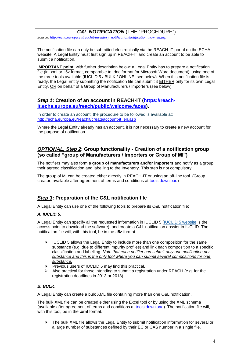# *C&L NOTIFICATION* (THE "PROCEDURE")

*Source: http://echa.europa.eu/reachit/inventory\_notification/notification\_how\_en.asp*

The notification file can only be submitted electronically via the REACH-IT portal on the ECHA website. A Legal Entity must first sign up in REACH-IT and create an account to be able to submit a notification.

**IMPORTANT point**, with further description below: a Legal Entity has to prepare a notification file (in .xml or .i5z format, comparable to .doc format for Microsoft Word document), using one of the three tools available (IUCLID 5 / BULK / ONLINE, see below). When this notification file is ready, the Legal Entity submitting the notification file can submit it EITHER only for its own Legal Entity, OR on behalf of a Group of Manufacturers / Importers (see below).

# *Step 1***: Creation of an account in REACH-IT [\(https://reach](https://reach-it.echa.europa.eu/reach/public/welcome.faces)[it.echa.europa.eu/reach/public/welcome.faces\)](https://reach-it.echa.europa.eu/reach/public/welcome.faces).**

In order to create an account, the procedure to be followed is available at: [http://echa.europa.eu/reachit/createaccount-it\\_en.asp](http://echa.europa.eu/reachit/createaccount-it_en.asp)

Where the Legal Entity already has an account, it is not necessary to create a new account for the purpose of notification.

# *OPTIONAL, Step 2***: Group functionality - Creation of a notification group (so called "group of Manufacturers / Importers or Group of MI")**

The notifiers may also form a **group of manufacturers and/or importers** and notify as a group their agreed classification and labelling to the Inventory. This step is not compulsory.

The group of MI can be created either directly in REACH-IT or using an off-line tool. (Group creator, available after agreement of terms and conditions at [tools download\)](http://echa.europa.eu/reachit/inventory_notification/tools_download_en.asp)

# *Step 3***: Preparation of the C&L notification file**

A Legal Entity can use one of the following tools to prepare its C&L notification file:

#### *A. IUCLID 5.*

A Legal Entity can specify all the requested information in IUCLID 5 [\(IUCLID 5 website](http://iuclid.echa.europa.eu/) is the access point to download the software), and create a C&L notification dossier in IUCLID. The notification file will, with this tool, be in the **.i5z** format.

- $\triangleright$  IUCLID 5 allows the Legal Entity to include more than one composition for the same substance (e.g. due to different impurity profiles) and link each composition to a specific classification and labelling. *Note that each notifier can submit only one notification per substance and this is the only tool where you can submit several compositions for one substance.*
- $\triangleright$  Previous users of IUCLID 5 may find this practical.
- Also practical for those intending to submit a registration under REACH (e.g. for the registration deadlines in 2013 or 2018)

#### *B. BULK*.

A Legal Entity can create a bulk XML file containing more than one C&L notification.

The bulk XML file can be created either using the Excel tool or by using the XML schema (available after agreement of terms and conditions at **tools download**). The notification file will, with this tool, be in the **.xml** format.

 $\triangleright$  The bulk XML file allows the Legal Entity to submit notification information for several or a large number of substances defined by their EC or CAS number in a single file.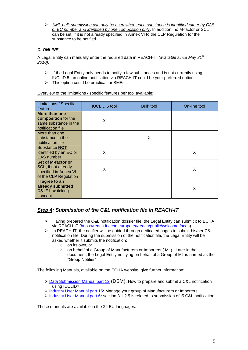*XML bulk submission can only be used when each substance is identified either by CAS or EC number and identified by one composition only*. In addition, no M-factor or SCL can be set, if it is not already specified in Annex VI to the CLP Regulation for the substance to be notified.

# *C. ONLINE*.

A Legal Entity can manually enter the required data in REACH-IT *(available since May 31st 2010).*

- $\triangleright$  If the Legal Entity only needs to notify a few substances and is not currently using IUCLID 5, an online notification via REACH-IT could be your preferred option.
- $\triangleright$  This option could be practical for SMEs.

Overview of the limitations / specific features per tool available:

| <b>Limitations / Specific</b><br>feature                                                           | <b>IUCLID 5 tool</b> | <b>Bulk tool</b> | On-line tool |
|----------------------------------------------------------------------------------------------------|----------------------|------------------|--------------|
| More than one<br>composition for the<br>same substance in the<br>notification file                 | X                    |                  |              |
| More than one<br>substance in the<br>notification file                                             |                      | X                |              |
| Substance <b>NOT</b><br>identified by an EC or<br><b>CAS</b> number                                | X                    |                  | X            |
| Set of M-factor or<br><b>SCL, if not already</b><br>specified in Annex VI<br>of the CLP Regulation | X                    |                  | X            |
| "I agree to an<br>already submitted<br><b>C&amp;L</b> " box ticking<br>concept                     |                      |                  | X            |

# *Step 4: Submission of the C&L notification file in REACH-IT*

- > Having prepared the C&L notification dossier file, the Legal Entity can submit it to ECHA via REACH-IT [\(https://reach-it.echa.europa.eu/reach/public/welcome.faces\)](https://reach-it.echa.europa.eu/reach/public/welcome.faces).
- $\triangleright$  In REACH-IT, the notifier will be guided through dedicated pages to submit his/her C&L notification file. During the submission of the notification file, the Legal Entity will be asked whether it submits the notification:
	- o on its own, or
	- o on behalf of a Group of Manufacturers or Importers ( MI ) . Later in the
	- document, the Legal Entity notifying on behalf of a Group of MI is named as the "Group Notifier"

The following Manuals, available on the ECHA website, give further information:

- [Data Submission Manual part 12](http://echa.europa.eu/doc/reachit/data_submission_manual_12_c&l.pdf) (DSM)**:** How to prepare and submit a C&L notification using IUCLID?
- [Industry User Manual part 15](http://echa.europa.eu/doc/reachit/industry_user_manual/reachit_group_mi_en.pdf)**:** Manage your group of Manufacturers or Importers
- [Industry User Manual part 6](http://echa.europa.eu/doc/reachit/industry_user_manual/reachit_dossier_submission_en.pdf)**:** section 3.1.2.5 is related to submission of I5 C&L notification

Those manuals are available in the 22 EU languages.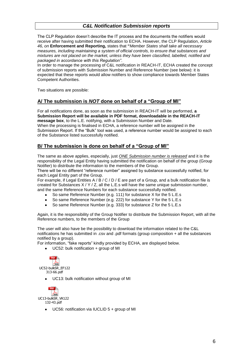# *C&L Notification Submission reports*

The CLP Regulation doesn't describe the IT process and the documents the notifiers would receive after having submitted their notification to ECHA. However, the CLP Regulation, *Article 46, on* **Enforcement and Reporting,** states that **"***Member States shall take all necessary measures, including maintaining a system of official controls, to ensure that substances and mixtures are not placed on the market, unless they have been classified, labelled, notified and packaged in accordance with this Regulation"*.

In order to manage the processing of C&L notification in REACH-IT, ECHA created the concept of submission reports with Submission Number and Reference Number (see below): it is expected that these reports would allow notifiers to show compliance towards Member States Competent Authorities.

Two situations are possible:

# **A/ The submission is** *NOT* **done on behalf of a "Group of MI"**

For all notifications done, as soon as the submission in REACH-IT will be performed, **a Submission Report will be available in PDF format, downloadable in the REACH-IT message box**, to the L.E. notifying, with a Submission Number and Date. When the processing is finalised in ECHA, a reference number will be assigned in the Submission Report. If the "Bulk" tool was used, a reference number would be assigned to each of the Substance listed successfully notified.

# **B/ The submission is done on behalf of a "Group of MI"**

The same as above applies, especially, just *ONE Submission number is released* and it is the responsibility of the Legal Entity having submitted the notification on behalf of the group (Group Notifier) to distribute the information to the members of the Group.

There will be no different "reference number" assigned by substance successfully notified, for each Legal Entity part of the Group.

For example, if Legal Entities  $A / B / C / D / E$  are part of a Group, and a bulk notification file is created for Substances X / Y / Z, all the L.E.s will have the same unique submission number, and the same Reference Numbers for each substance successfully notified.

- So same Reference Number (e.g. 111) for substance X for the 5 L.E.s
- So same Reference Number (e.g. 222) for substance Y for the 5 L.E.s
- So same Reference Number (e.g. 333) for substance Z for the 5 L.E.s

Again, it is the responsibility of the Group Notifier to distribute the Submission Report, with all the Reference numbers, to the members of the Group

The user will also have be the possibility to download the information related to the C&L notifications he has submitted in .csv and .pdf formats (group composition + all the substances notified by a group).

For information, "fake reports" kindly provided by ECHA, are displayed below.

UC52: bulk notification + group of MI



UC13: bulk notification without group of MI



UC56: notification via IUCLID 5 + group of MI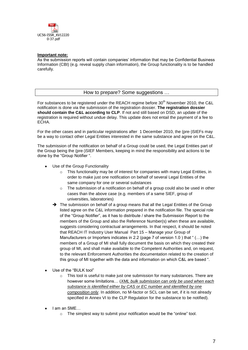

### **Important note:**

As the submission reports will contain companies' information that may be Confidential Business Information (CBI) (e.g. reveal supply chain information), the Group functionality is to be handled carefully.

How to prepare? Some suggestions …

For substances to be registered under the REACH regime before 30<sup>th</sup> November 2010, the C&L notification is done via the submission of the registration dossier. **The registration dossier should contain the C&L according to CLP**. If not and still based on DSD, an update of the registration is required without undue delay. This update does not entail the payment of a fee to ECHA.

For the other cases and in particular registrations after 1 December 2010, the (pre-)SIEFs may be a way to contact other Legal Entities interested in the same substance and agree on the C&L.

The submission of the notification on behalf of a Group could be used, the Legal Entities part of the Group being the (pre-)SIEF Members, keeping in mind the responsibility and actions to be done by the "Group Notifier ".

- Use of the Group Functionality
	- o This functionality may be of interest for companies with many Legal Entities, in order to make just one notification on behalf of several Legal Entities of the same company for one or several substances
	- o The submission of a notification on behalf of a group could also be used in other cases than the above case (e.g. members of a same SIEF, group of universities, laboratories)
	- The submission on behalf of a group means that all the Legal Entities of the Group listed agree on the C&L information prepared in the notification file. The special role of the "Group Notifier", as it has to distribute / share the Submission Report to the members of the Group and also the Reference Number(s) when these are available, suggests considering contractual arrangements. In that respect, it should be noted that REACH IT Industry User Manual Part 15 – Manage your Group of Manufacturers or Importers indicates in 2.2 (page 7 of version 1.0 ) that " (…) the members of a Group of MI shall fully document the basis on which they created their group of MI, and shall make available to the Competent Authorities and, on request, to the relevant Enforcement Authorities the documentation related to the creation of this group of MI together with the data and information on which C&L are based ".
- Use of the "BULK tool"
	- $\circ$  This tool is useful to make just one submission for many substances. There are however some limitations… (*XML bulk submission can only be used when each substance is identified either by CAS or EC number and identified by one composition only*. In addition, no M-factor or SCL can be set, if it is not already specified in Annex VI to the CLP Regulation for the substance to be notified).
- I am an SME…
	- o The simplest way to submit your notification would be the "online" tool.